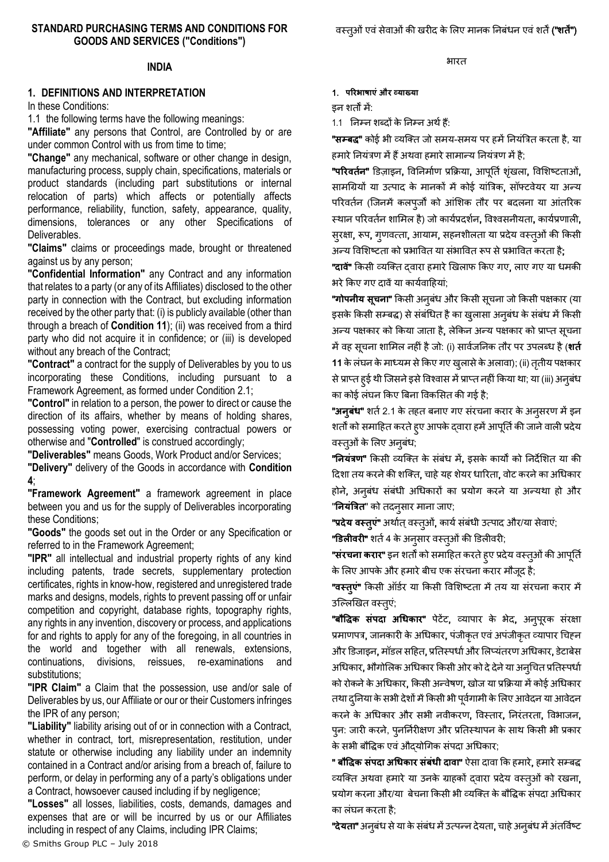#### **STANDARD PURCHASING TERMS AND CONDITIONS FOR GOODS AND SERVICES ("Conditions")**

भारत

## **INDIA**

### **1. DEFINITIONS AND INTERPRETATION**

In these Conditions:

1.1 the following terms have the following meanings:

**"Affiliate"** any persons that Control, are Controlled by or are under common Control with us from time to time;

**"Change"** any mechanical, software or other change in design, manufacturing process, supply chain, specifications, materials or product standards (including part substitutions or internal relocation of parts) which affects or potentially affects performance, reliability, function, safety, appearance, quality, dimensions, tolerances or any other Specifications of Deliverables.

**"Claims"** claims or proceedings made, brought or threatened against us by any person;

**"Confidential Information"** any Contract and any information that relates to a party (or any of its Affiliates) disclosed to the other party in connection with the Contract, but excluding information received by the other party that: (i) is publicly available (other than through a breach of **Condition [11](#page-9-0)**); (ii) was received from a third party who did not acquire it in confidence; or (iii) is developed without any breach of the Contract;

**"Contract"** a contract for the supply of Deliverables by you to us incorporating these Conditions, including pursuant to a Framework Agreement, as formed under Condition [2.1;](#page-1-0)

**"Control"** in relation to a person, the power to direct or cause the direction of its affairs, whether by means of holding shares, possessing voting power, exercising contractual powers or otherwise and "**Controlled**" is construed accordingly;

**"Deliverables"** means Goods, Work Product and/or Services;

**"Delivery"** delivery of the Goods in accordance with **Condition [4](#page-3-0)**;

**"Framework Agreement"** a framework agreement in place between you and us for the supply of Deliverables incorporating these Conditions;

**"Goods"** the goods set out in the Order or any Specification or referred to in the Framework Agreement;

**"IPR"** all intellectual and industrial property rights of any kind including patents, trade secrets, supplementary protection certificates, rights in know-how, registered and unregistered trade marks and designs, models, rights to prevent passing off or unfair competition and copyright, database rights, topography rights, any rights in any invention, discovery or process, and applications for and rights to apply for any of the foregoing, in all countries in the world and together with all renewals, extensions, continuations, divisions, reissues, re-examinations and substitutions;

**"IPR Claim"** a Claim that the possession, use and/or sale of Deliverables by us, our Affiliate or our or their Customers infringes the IPR of any person;

**"Liability"** liability arising out of or in connection with a Contract, whether in contract, tort, misrepresentation, restitution, under statute or otherwise including any liability under an indemnity contained in a Contract and/or arising from a breach of, failure to perform, or delay in performing any of a party's obligations under a Contract, howsoever caused including if by negligence;

**"Losses"** all losses, liabilities, costs, demands, damages and expenses that are or will be incurred by us or our Affiliates including in respect of any Claims, including IPR Claims;

1. **परिभाषाएंऔि व्याख्या**

इन शतों में:

1.1 ननम्न शब्दों के ननम्न अर्थह:ैं

**"सम्बद्ध"** कोई भी व्यक्ति जो समय-समय पर हमें नियंत्रित करता है, या हमारे नियंत्रण में हैं अथवा हमारे सामान्य नियंत्रण में है;

"परिवर्तन" डिज़ाइन, विनिर्माण प्रक्रिया, आपूर्ति शृंखला, विशिष्टताओं, सामग्रियों या उत्पाद के मानकों में कोई यांत्रिक, सॉफ्टवेयर या अन्य परिवर्तन (जिनमें कलपूर्जों को आंशिक तौर पर बदलना या आंतरिक स्थान परिवर्तन शामिल है) जो कार्यप्रदर्शन, विश्वसनीयता, कार्यप्रणाली, सुरक्षा, रूप, गुणवत्ता, आयाम, सहनशीलता या प्रदेय वस्तूओं की किसी अन्य विशिष्टता को प्रभावित या संभावित रूप से प्रभावित करता है;

"दावें" किसी व्यक्ति दवारा हमारे खिलाफ किए गए, लाए गए या धमकी भरेक्रकए गए दावेंया कायथवाहहयां;

"गोपनीय सूचना" किसी अनुबंध और किसी सूचना जो किसी पक्षकार (या इसके किसी सम्बद्ध) से संबंधित है का खुलासा अनुबंध के संबंध में किसी अन्य पक्षकार को किया जाता है, लेकिन अन्य पक्षकार को प्राप्त सूचना मेंवह सचू ना शालमि नहीं हैजो: (i) सावथजननक तौर पर उपिब्ध है(**शर्तत** 11 के लंघन के माध्यम से किए गए खुलासे के अलावा); (ii) तृतीय पक्षकार से प्राप्त हुई थी जिसने इसे विश्वास में प्राप्त नहीं किया था; या (iii) अनुबंध का कोई लंघन किए बिना विकसित की गई है;

"अन्**बंध"** शर्त 2.1 के तहत बनाए गए संरचना करार के अनुसरण में इन शर्तों को समाहित करते हुए आपके द्वारा हमें आपूर्ति की जाने वाली प्रदेय वस्त्ओं के लिए अनुबंध;

"**ननयंत्रण**" क्रकसी व्यक्तत के संबंध म,ें इसके कायों को ननदेलशत या की दिशा तय करने की शक्ति, चाहे यह शेयर धारिता, वोट करने का अधिकार होने, अनुबंध संबंधी अधिकारों का प्रयोग करने या अन्यथा हो और "**नियंत्रित**" को तदनुसार माना जाए;

"प्रदेय वस्तुएं" अर्थात् वस्त्ओं, कार्य संबंधी उत्पाद और/या सेवाएं;

**"डिलीवरी"** शर्त 4 के अनुसार वस्तुओं की डिलीवरी;

"संरचना करार" इन शर्तों को समाहित करते हुए प्रदेय वस्त्ओं की आपूर्ति के लिए आपके और हमारेबीच एक संरचना करार मौजदू है;

"वस्तूएं" किसी ऑर्डर या किसी विशिष्टता में तय या संरचना करार में उल्लिखित वस्तुएं;

"**बौद्धद्धक संपदा अधधकाि**" पेटेंट, व्यापार के भेद, अनुपरूक संरक्षा प्रमाणपत्र, जानकारी के अधिकार, पंजीकृत एवं अपंजीकृत व्यापार चिहन और डिजाइन, मॉडल सहित, प्रतिस्पर्धा और लिप्यंतरण अधिकार, डेटाबेस अधिकार, भौगोलिक अधिकार किसी ओर को दे देने या अन्चित प्रतिस्पर्धा को रोकने के अधिकार, किसी अन्वेषण, खोज या प्रक्रिया में कोई अधिकार तथा दुनिया के सभी देशों में किसी भी पूर्वगामी के लिए आवेदन या आवेदन करने के अधिकार और सभी नवीकरण, विस्तार, निरंतरता, विभाजन, पुन: जारी करने, पुनर्निरीक्षण और प्रतिस्थापन के साथ किसी भी प्रकार के सभी बौवद्धक एवंऔद्योग्रगक संपदा अग्रधकार;

" **बौद्धद्धक संपदा अधधकाि संबंधी दावा**" ऐसा दावा क्रक हमारे, हमारेसम्बद्ध व्यक्ति अथवा हमारे या उनके ग्राहकों दवारा प्रदेय वस्तुओं को रखना, प्रयोग करना और/या बेचना किसी भी व्यक्ति के बौद्धिक संपदा अधिकार का िंघन करता है;

**"देयता"** अनुबंध से या के संबंध में उत्पन्न देयता, चाहे अनुबंध में अंतर्विष्ट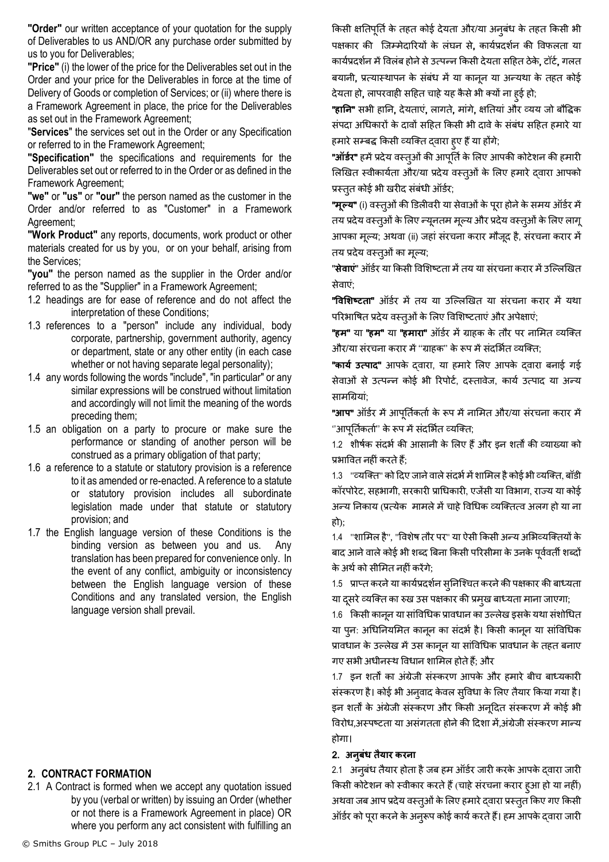**"Order"** our written acceptance of your quotation for the supply of Deliverables to us AND/OR any purchase order submitted by us to you for Deliverables;

**"Price"** (i) the lower of the price for the Deliverables set out in the Order and your price for the Deliverables in force at the time of Delivery of Goods or completion of Services; or (ii) where there is a Framework Agreement in place, the price for the Deliverables as set out in the Framework Agreement;

"**Services**" the services set out in the Order or any Specification or referred to in the Framework Agreement;

**"Specification"** the specifications and requirements for the Deliverables set out or referred to in the Order or as defined in the Framework Agreement;

**"we"** or **"us"** or **"our"** the person named as the customer in the Order and/or referred to as "Customer" in a Framework Agreement;

**"Work Product"** any reports, documents, work product or other materials created for us by you, or on your behalf, arising from the Services;

**"you"** the person named as the supplier in the Order and/or referred to as the "Supplier" in a Framework Agreement;

- 1.2 headings are for ease of reference and do not affect the interpretation of these Conditions;
- 1.3 references to a "person" include any individual, body corporate, partnership, government authority, agency or department, state or any other entity (in each case whether or not having separate legal personality);
- 1.4 any words following the words "include", "in particular" or any similar expressions will be construed without limitation and accordingly will not limit the meaning of the words preceding them;
- 1.5 an obligation on a party to procure or make sure the performance or standing of another person will be construed as a primary obligation of that party;
- 1.6 a reference to a statute or statutory provision is a reference to it as amended or re-enacted. A reference to a statute or statutory provision includes all subordinate legislation made under that statute or statutory provision; and
- 1.7 the English language version of these Conditions is the binding version as between you and us. Any translation has been prepared for convenience only. In the event of any conflict, ambiguity or inconsistency between the English language version of these Conditions and any translated version, the English language version shall prevail.

## **2. CONTRACT FORMATION**

<span id="page-1-0"></span>2.1 A Contract is formed when we accept any quotation issued by you (verbal or written) by issuing an Order (whether or not there is a Framework Agreement in place) OR where you perform any act consistent with fulfilling an

किसी क्षतिपूर्ति के तहत कोई देयता और/या अनुबंध के तहत किसी भी पक्षकार की जिम्मेदारियों के लंघन से, कार्यप्रदर्शन की विफलता या कार्यप्रदर्शन में विलंब होने से उत्पन्न किसी देयता सहित ठेके, टॉर्ट, गलत बयानी, प्रत्यास्थापन के संबंध में या कानून या अन्यथा के तहत कोई देयता हो, लापरवाही सहित चाहे यह कैसे भी क्यों ना हुई हो;

"**हानन**" सभी हानन, देयताएं, िागते, मांगे, क्षनतयां और व्यय जो बौवद्धक संपदा अधिकारों के दावों सहित किसी भी दावे के संबंध सहित हमारे या हमारे सम्बद्ध किसी व्यक्ति दवारा हुए हैं या होंगे;

**"ऑर्डर"** हमें प्रदेय वस्तुओं की आपूर्ति के लिए आपकी कोटेशन की हमारी लिखित स्वीकार्यता और/या प्रदेय वस्तुओं के लिए हमारे दवारा आपको प्रस्तुत कोई भी खरीद संबंधी ऑर्डर;

**"मूल्य"** (i) वस्तुओं की डिलीवरी या सेवाओं के पूरा होने के समय ऑर्डर में तय प्रदेय वस्तुओं के लिए न्यूनतम मूल्य और प्रदेय वस्तुओं के लिए लागू आपका मूलय; अर्वा (ii) जहां संरचना करार मौजदू है, संरचना करार में तय प्रदेय वस्तुओं का मूल्य;

"**सेवाएं**" ऑर्डर या किसी विशिष्टता में तय या संरचना करार में उल्लिखित सेवाएं;

"विशिष्टता" ऑर्डर में तय या उल्लिखित या संरचना करार में यथा परिभाषित प्रदेय वस्तुओं के लिए विशिष्टताएं और अपेक्षाएं;

**"हम"** या **"हम"** या **"हमारा"** ऑर्डर में ग्राहक के तौर पर नामित व्यक्ति और/या संरचना करार में "ग्राहक" के रूप में संदर्भित व्यक्ति:

"**कायत उत्पाद**" आपके द्वारा, या हमारे लिए आपके द्वारा बनाई गई सेवाओं से उत्पन्न कोई भी रिपोर्ट, दस्तावेज, कार्य उत्पाद या अन्य सामग्रियां;

"आप" ऑर्डर में आपूर्तिकर्ता के रूप में नामित और/या संरचना करार में ''आपूर्तिकर्ता'' के रूप में संदर्भित व्यक्ति;

1.2 शीर्षक संदर्भ की आसानी के लिए हैं और इन शर्तों की व्याख्या को प्रभाववत नहींकरतेह;ैं

1.3 "व्यक्ति" को दिए जाने वाले संदर्भ में शामिल है कोई भी व्यक्ति, बॉडी कॉरपोरेट, सहभागी, सरकारी प्राधिकारी, एजेंसी या विभाग, राज्य या कोई अन्य निकाय (प्रत्येक मामले में चाहे विधिक व्यक्तित्व अलग हो या ना हो);

1.4 "शामिल है", "विशेष तौर पर" या ऐसी किसी अन्य अभिव्यक्तियों के बाद आने वाले कोई भी शब्द बिना किसी परिसीमा के उनके पूर्ववर्ती शब्दों केअर्थको सीलमत नहींकरेंगे;

1.5 प्राप्त करने या कार्यप्रदर्शन सुनिश्चित करने की पक्षकार की बाध्यता या दसरे व्यक्ति का रुख उस पक्षकार की प्रमुख बाध्यता माना जाएगा;

1.6 किसी कानून या सांविधिक प्रावधान का उल्लेख इसके यथा संशोधित या पन: अधिनियमित कानून का संदर्भ है। किसी कानून या सांविधिक प्रावधान के उल्लेख में उस कानून या सांविधिक प्रावधान के तहत बनाए गए सभी अधीनस्थ विधान शामिल होते हैं; और

1.7 इन शर्तों का अंग्रेजी संस्करण आपके और हमारे बीच बाध्यकारी संस्करण है। कोई भी अनवाद केवल सविधा के लिए तैयार किया गया है। इन शर्तों के अंग्रेजी संस्करण और किसी अनूदित संस्करण में कोई भी विरोध,अस्पष्टता या असंगतता होने की दिशा में,अंग्रेजी संस्करण मान्य होगा।

#### 2. **अनबुंध र्तैयाि किना**

2.1 अनुबंध तैयार होता है जब हम ऑर्डर जारी करके आपके दवारा जारी किसी कोटेशन को स्वीकार करते हैं (चाहे संरचना करार हुआ हो या नहीं) अथवा जब आप प्रदेय वस्त्ओं के लिए हमारे द्वारा प्रस्तुत किए गए किसी ऑर्डर को पूरा करने के अन् रूप कोई कार्य करते हैं। हम आपके द्वारा जारी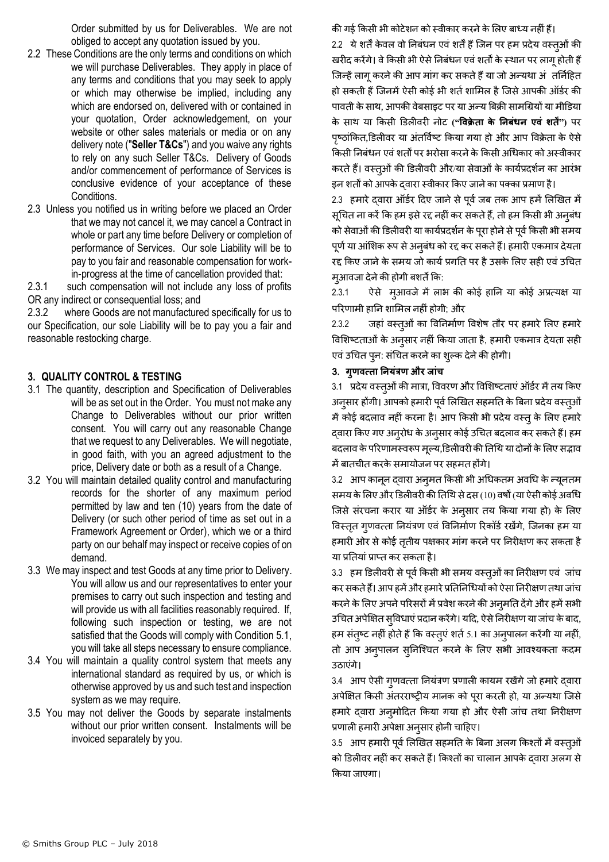Order submitted by us for Deliverables. We are not obliged to accept any quotation issued by you.

- 2.2 These Conditions are the only terms and conditions on which we will purchase Deliverables. They apply in place of any terms and conditions that you may seek to apply or which may otherwise be implied, including any which are endorsed on, delivered with or contained in your quotation, Order acknowledgement, on your website or other sales materials or media or on any delivery note ("**Seller T&Cs**") and you waive any rights to rely on any such Seller T&Cs. Delivery of Goods and/or commencement of performance of Services is conclusive evidence of your acceptance of these Conditions.
- 2.3 Unless you notified us in writing before we placed an Order that we may not cancel it, we may cancel a Contract in whole or part any time before Delivery or completion of performance of Services. Our sole Liability will be to pay to you fair and reasonable compensation for workin-progress at the time of cancellation provided that:

2.3.1 such compensation will not include any loss of profits OR any indirect or consequential loss; and

2.3.2 where Goods are not manufactured specifically for us to our Specification, our sole Liability will be to pay you a fair and reasonable restocking charge.

## **3. QUALITY CONTROL & TESTING**

- 3.1 The quantity, description and Specification of Deliverables will be as set out in the Order. You must not make any Change to Deliverables without our prior written consent. You will carry out any reasonable Change that we request to any Deliverables. We will negotiate, in good faith, with you an agreed adjustment to the price, Delivery date or both as a result of a Change.
- 3.2 You will maintain detailed quality control and manufacturing records for the shorter of any maximum period permitted by law and ten (10) years from the date of Delivery (or such other period of time as set out in a Framework Agreement or Order), which we or a third party on our behalf may inspect or receive copies of on demand.
- 3.3 We may inspect and test Goods at any time prior to Delivery. You will allow us and our representatives to enter your premises to carry out such inspection and testing and will provide us with all facilities reasonably required. If, following such inspection or testing, we are not satisfied that the Goods will comply with Condition [5.1,](#page-4-0) you will take all steps necessary to ensure compliance.
- 3.4 You will maintain a quality control system that meets any international standard as required by us, or which is otherwise approved by us and such test and inspection system as we may require.
- 3.5 You may not deliver the Goods by separate instalments without our prior written consent. Instalments will be invoiced separately by you.

की गई किसी भी कोटेशन को स्वीकार करने के लिए बाध्य नहीं हैं। 2.2 ये शर्तें केवल वो निबंधन एवं शर्तें हैं जिन पर हम प्रदेय वस्तुओं की खरीद करेंगे। वे किसी भी ऐसे निबंधन एवं शर्तों के स्थान पर लागू होती हैं जिन्हें लागू करने की आप मांग कर सकते हैं या जो अन्यथा अंतनिहित हो सकती हैं जिनमें ऐसी कोई भी शर्त शामिल है जिसे आपकी ऑर्डर की पावती के साथ, आपकी वेबसाइट पर या अन्य बिक्री सामग्रियों या मीडिया के सार् या क्रकसी डििीवरी नोट **("द्धवक्रे र्ता के ननबंधन एवं शर्तें")** पर पृष्ठांकित,डिलीवर या अंतर्विष्ट किया गया हो और आप विक्रेता के ऐसे क्रकसी ननबंधन एवंशतों पर भरोसा करनेके क्रकसी अग्रधकार को अस्वीकार करते हैं। वस्तुओं की डिलीवरी और/या सेवाओं के कार्यप्रदर्शन का आरंभ इन शर्तों को आपके दवारा स्वीकार किए जाने का पक्का प्रमाण है।

2.3 हमारे दवारा ऑर्डर दिए जाने से पूर्व जब तक आप हमें लिखित में सूचित ना करें कि हम इसे रद्द नहीं कर सकते हैं, तो हम किसी भी अनुबंध को सेवाओं की डिलीवरी या कार्यप्रदर्शन के पूरा होने से पूर्व किसी भी समय पूर्ण या आंशिक रूप से अनुबंध को रद्द कर सकते हैं। हमारी एकमात्र देयता रद्द किए जाने के समय जो कार्य प्रगति पर है उसके लिए सही एवं उचित मुआवजा देने की होगी बशर्ते कि:

2.3.1 ऐसे मुआवजे में लाभ की कोई हानि या कोई अप्रत्यक्ष या परिणामी हानि शामिल नहीं होगी; और

2.3.2 जहां वस्तूओं का विनिर्माण विशेष तौर पर हमारे लिए हमारे विशिष्टताओं के अनुसार नहीं किया जाता है, हमारी एकमात्र देयता सही एवं उचित पून: संचित करने का शुल्क देने की होगी।

#### 3. **गुणवत्र्ता ननयंत्रण औि जांच**

3.1 प्रदेय वस्तुओं की मात्रा, विवरण और विशिष्टताएं ऑर्डर में तय किए अनुसार होंगी। आपको हमारी पूर्व लिखित सहमति के बिना प्रदेय वस्तुओं में कोई बदलाव नहीं करना है। आप किसी भी प्रदेय वस्तु के लिए हमारे द्वारा किए गए अनुरोध के अनुसार कोई उचित बदलाव कर सकते हैं। हम बदलाव के परिणामस्वरूप मूल्य,डिलीवरी की तिथि या दोनों के लिए सद्भाव मेंबातचीत करकेसमायोजन पर सहमत होंगे।

3.2 आप कानून दवारा अनुमत किसी भी अधिकतम अवधि के न्यूनतम समय के लिए और डिलीवरी की तिथि से दस (10) वर्षों (या ऐसी कोई अवधि जिसे संरचना करार या ऑर्डर के अनुसार तय किया गया हो) के लिए विस्तृत गुणवत्ता नियंत्रण एवं विनिर्माण रिकॉर्ड रखेंगे, जिनका हम या हमारी ओर से कोई तृतीय पक्षकार मांग करने पर निरीक्षण कर सकता है या प्रनतयांप्राप्त कर सकता है।

3.3 हम डिलीवरी से पूर्व किसी भी समय वस्तुओं का निरीक्षण एवं जांच कर सकते हैं। आप हमें और हमारे प्रतिनिधियों को ऐसा निरीक्षण तथा जांच करने के लिए अपने परिसरों में प्रवेश करने की अनूमति देंगे और हमें सभी उग्रचत अपेक्षक्षत सुववधाएंप्रदान करेंगे। यहद, ऐसेननरीक्षण या जांच केबाद, हम संतुष्ट नहीं होते हैं कि वस्तुएं शर्त 5.1 का अनुपालन करेंगी या नहीं, तो आप अनुपालन सुनिश्चित करने के लिए सभी आवश्यकता कदम उठाएंगे।

3.4 आप ऐसी गुणवत्ता नियंत्रण प्रणाली कायम रखेंगे जो हमारे दवारा अपेक्षित किसी अंतरराष्ट्रीय मानक को पूरा करती हो, या अन्यथा जिसे हमारे दवारा अनुमोदित किया गया हो और ऐसी जांच तथा निरीक्षण प्रणाली हमारी अपेक्षा अनुसार होनी चाहिए।

3.5 आप हमारी पूर्व लिखित सहमति के बिना अलग किश्तों में वस्त्ओं को डिलीवर नहीं कर सकते हैं। किश्तों का चालान आपके दवारा अलग से क्रकया जाएगा।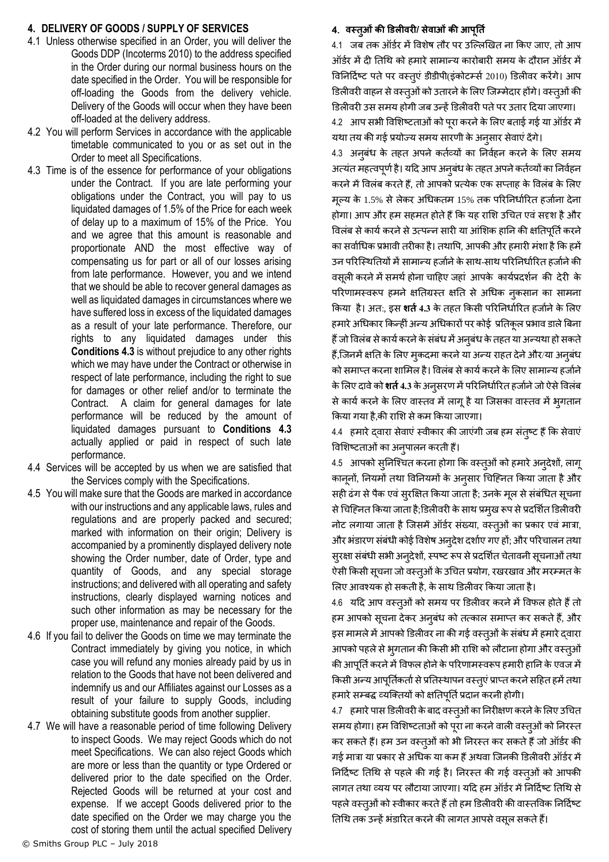## <span id="page-3-0"></span>**4. DELIVERY OF GOODS / SUPPLY OF SERVICES**

- 4.1 Unless otherwise specified in an Order, you will deliver the Goods DDP (Incoterms 2010) to the address specified in the Order during our normal business hours on the date specified in the Order. You will be responsible for off-loading the Goods from the delivery vehicle. Delivery of the Goods will occur when they have been off-loaded at the delivery address.
- 4.2 You will perform Services in accordance with the applicable timetable communicated to you or as set out in the Order to meet all Specifications.
- <span id="page-3-1"></span>4.3 Time is of the essence for performance of your obligations under the Contract. If you are late performing your obligations under the Contract, you will pay to us liquidated damages of 1.5% of the Price for each week of delay up to a maximum of 15% of the Price. You and we agree that this amount is reasonable and proportionate AND the most effective way of compensating us for part or all of our losses arising from late performance. However, you and we intend that we should be able to recover general damages as well as liquidated damages in circumstances where we have suffered loss in excess of the liquidated damages as a result of your late performance. Therefore, our rights to any liquidated damages under this **Conditions [4.3](#page-3-1)** is without prejudice to any other rights which we may have under the Contract or otherwise in respect of late performance, including the right to sue for damages or other relief and/or to terminate the Contract. A claim for general damages for late performance will be reduced by the amount of liquidated damages pursuant to **Conditions [4.3](#page-3-1)** actually applied or paid in respect of such late performance.
- 4.4 Services will be accepted by us when we are satisfied that the Services comply with the Specifications.
- 4.5 You will make sure that the Goods are marked in accordance with our instructions and any applicable laws, rules and regulations and are properly packed and secured; marked with information on their origin; Delivery is accompanied by a prominently displayed delivery note showing the Order number, date of Order, type and quantity of Goods, and any special storage instructions; and delivered with all operating and safety instructions, clearly displayed warning notices and such other information as may be necessary for the proper use, maintenance and repair of the Goods.
- 4.6 If you fail to deliver the Goods on time we may terminate the Contract immediately by giving you notice, in which case you will refund any monies already paid by us in relation to the Goods that have not been delivered and indemnify us and our Affiliates against our Losses as a result of your failure to supply Goods, including obtaining substitute goods from another supplier.
- 4.7 We will have a reasonable period of time following Delivery to inspect Goods. We may reject Goods which do not meet Specifications. We can also reject Goods which are more or less than the quantity or type Ordered or delivered prior to the date specified on the Order. Rejected Goods will be returned at your cost and expense. If we accept Goods delivered prior to the date specified on the Order we may charge you the cost of storing them until the actual specified Delivery

## 4. **वस्र्तओु ंकी डिलीविी/ सेवाओंकी आपूनर्तत**

4.1 जब तक ऑर्डर में विशेष तौर पर उल्लिखित ना किए जाए, तो आप ऑर्डर में दी तिथि को हमारे सामान्य कारोबारी समय के दौरान ऑर्डर में विनिर्दिष्ट पते पर वस्तुएं डीडीपी(इंकोटम्सी 2010) डिलीवर करेंगे। आप डिलीवरी वाहन से वस्तुओं को उतारने के लिए जिम्मेदार होंगे। वस्तूओं की डिलीवरी उस समय होगी जब उन्हें डिलीवरी पते पर उतार दिया जाएगा।

4.2 आप सभी विशिष्टताओं को पूरा करने के लिए बताई गई या ऑर्डर में यथा तय की गई प्रयोज्य समय सारणी के अनुसार सेवाएं देंगे।

4.3 अनूबंध के तहत अपने कर्तव्यों का निर्वहन करने के लिए समय अत्यंत महत्वपूर्ण है। यदि आप अनुबंध के तहत अपने कर्तव्यों का निर्वहन करने में विलंब करते हैं, तो आपको प्रत्येक एक सप्ताह के विलंब के लिए मूल्य के 1.5% से लेकर अधिकतम 15% तक परिनिर्धारित हर्जाना देना होगा। आप और हम सहमत होते हैं कि यह राशि उचित एवं सदृश है और विलंब से कार्य करने से उत्पन्न सारी या आंशिक हानि की क्षतिपूर्ति करने का सर्वाधिक प्रभावी तरीका है। तथापि, आपकी और हमारी मंशा है कि हमें उन परिस्थितियों में सामान्य हर्जाने के साथ-साथ परिनिर्धारित हर्जाने की वसूली करने में समर्थ होना चाहिए जहां आपके कार्यप्रदर्शन की देरी के परिणामस्वरूप हमने क्षतिग्रस्त क्षति से अधिक नुकसान का सामना किया है। अत:, इस **शर्त 4.3** के तहत किसी परिनिर्धारित हर्जाने के लिए हमारे अधिकार किन्हीं अन्य अधिकारों पर कोई प्रतिकृल प्रभाव डाले बिना हैं जो विलंब से कार्य करने के संबंध में अनुबंध के तहत या अन्यथा हो सकते हैं,जिनमें क्षति के लिए मुकदमा करने या अन्य राहत देने और/या अनुबंध को समाप्त करना शामिल है। विलंब से कार्य करने के लिए सामान्य हर्जाने के लिए दावे को **शर्त** 4.3 के अनुसरण में परिनिर्धारित हर्जाने जो ऐसे विलंब से कार्य करने के लिए वास्तव में लागू है या जिसका वास्तव में भुगतान क्रकया गया है,की रालश सेकम क्रकया जाएगा।

4.4 हमारे दवारा सेवाएं स्वीकार की जाएंगी जब हम संतुष्ट हैं कि सेवाएं विशिष्टताओं का अनुपालन करती हैं।

4.5 आपको सुनिश्चित करना होगा कि वस्तुओं को हमारे अनुदेशों, लागू कानूनों, नियमों तथा विनियमों के अनुसार चिहिनत किया जाता है और सही ढंग से पैक एवं सुरक्षित किया जाता है; उनके मूल से संबंधित सूचना से चिह्नित किया जाता है;डिलीवरी के साथ प्रमुख रूप से प्रदर्शित डिलीवरी नोट लगाया जाता है जिसमें ऑर्डर संख्या, वस्तूओं का प्रकार एवं मात्रा, और भंडारण संबंधी कोई विशेष अन्**देश दर्शाए गए हों; और परिचालन** तथा सुरक्षा संबंधी सभी अन्**देशों, स्पष्ट रूप से प्रदर्शित चेतावनी** सूचनाओं तथा ऐसी किसी सूचना जो वस्तुओं के उचित प्रयोग, रखरखाव और मरम्मत के लिए आवश्यक हो सकती है, के साथ डिलीवर किया जाता है।

4.6 यदि आप वस्तूओं को समय पर डिलीवर करने में विफल होते हैं तो हम आपको सूचना देकर अनुबंध को तत्काल समाप्त कर सकते हैं, और इस मामले में आपको डिलीवर ना की गई वस्त्ओं के संबंध में हमारे द्वारा आपको पहले से भ्गतान की किसी भी राशि को लौटाना होगा और वस्त्ओं की आपूर्ति करने में विफल होने के परिणामस्वरूप हमारी हानि के एवज में किसी अन्य आपूर्तिकर्ता से प्रतिस्थापन वस्तुएं प्राप्त करने सहित हमें तथा हमारे सम्बद्ध व्यक्तियों को क्षतिपूर्ति प्रदान करनी होगी।

4.7 हमारे पास डिलीवरी के बाद वस्तूओं का निरीक्षण करने के लिए उचित समय होगा। हम विशिष्टताओं को पूरा ना करने वाली वस्तुओं को निरस्त कर सकते हैं। हम उन वस्त्ओं को भी निरस्त कर सकते हैं जो ऑर्डर की गई मात्रा या प्रकार से अधिक या कम हैं अथवा जिनकी डिलीवरी ऑर्डर में निर्दिष्ट तिथि से पहले की गई है। निरस्त की गई वस्तुओं को आपकी लागत तथा व्यय पर लौटाया जाएगा। यदि हम ऑर्डर में निर्दिष्ट तिथि से पहले वस्तुओं को स्वीकार करते हैं तो हम डिलीवरी की वास्तविक निर्दिष्ट तिथि तक उन्हें भंडारित करने की लागत आपसे वसूल सकते हैं।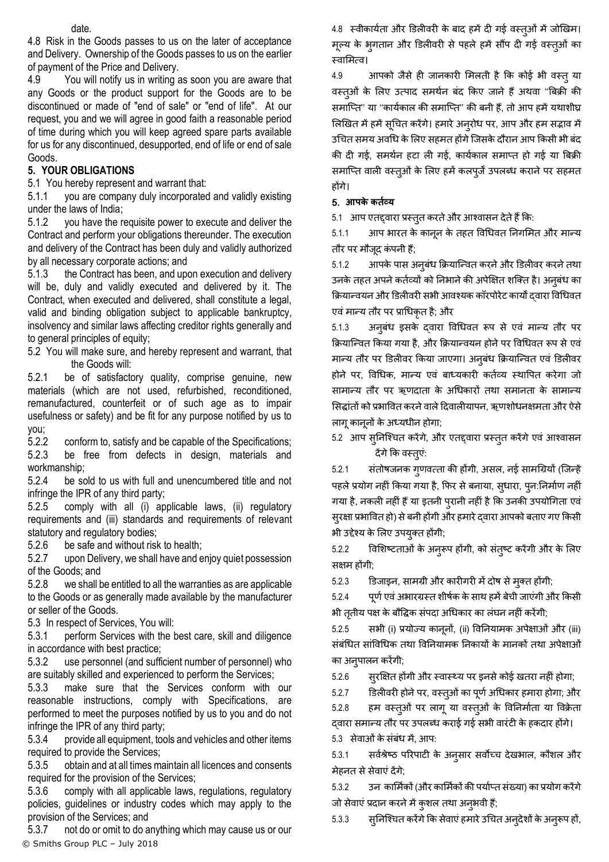date.

4.8 Risk in the Goods passes to us on the later of acceptance and Delivery. Ownership of the Goods passes to us on the earlier of payment of the Price and Delivery.

4.9 You will notify us in writing as soon you are aware that any Goods or the product support for the Goods are to be discontinued or made of "end of sale" or "end of life". At our request, you and we will agree in good faith a reasonable period of time during which you will keep agreed spare parts available for us for any discontinued, desupported, end of life or end of sale Goods.

# **5. YOUR OBLIGATIONS**

<span id="page-4-0"></span>5.1 You hereby represent and warrant that:

5.1.1 you are company duly incorporated and validly existing under the laws of India;

5.1.2 you have the requisite power to execute and deliver the Contract and perform your obligations thereunder. The execution and delivery of the Contract has been duly and validly authorized by all necessary corporate actions; and

5.1.3 the Contract has been, and upon execution and delivery will be, duly and validly executed and delivered by it. The Contract, when executed and delivered, shall constitute a legal, valid and binding obligation subject to applicable bankruptcy, insolvency and similar laws affecting creditor rights generally and to general principles of equity;

5.2 You will make sure, and hereby represent and warrant, that the Goods will:

5.2.1 be of satisfactory quality, comprise genuine, new materials (which are not used, refurbished, reconditioned, remanufactured, counterfeit or of such age as to impair usefulness or safety) and be fit for any purpose notified by us to you;

5.2.2 conform to, satisfy and be capable of the Specifications; 5.2.3 be free from defects in design, materials and workmanship;

5.2.4 be sold to us with full and unencumbered title and not infringe the IPR of any third party;

5.2.5 comply with all (i) applicable laws, (ii) regulatory requirements and (iii) standards and requirements of relevant statutory and regulatory bodies;

5.2.6 be safe and without risk to health;

5.2.7 upon Delivery, we shall have and enjoy quiet possession of the Goods; and

5.2.8 we shall be entitled to all the warranties as are applicable to the Goods or as generally made available by the manufacturer or seller of the Goods.

<span id="page-4-1"></span>5.3 In respect of Services, You will:

5.3.1 perform Services with the best care, skill and diligence in accordance with best practice;

5.3.2 use personnel (and sufficient number of personnel) who are suitably skilled and experienced to perform the Services;

5.3.3 make sure that the Services conform with our reasonable instructions, comply with Specifications, are performed to meet the purposes notified by us to you and do not infringe the IPR of any third party;

5.3.4 provide all equipment, tools and vehicles and other items required to provide the Services;

5.3.5 obtain and at all times maintain all licences and consents required for the provision of the Services;

5.3.6 comply with all applicable laws, regulations, regulatory policies, guidelines or industry codes which may apply to the provision of the Services; and

© Smiths Group PLC – July 2018 5.3.7 not do or omit to do anything which may cause us or our 4.8 स्वीकार्यता और डिलीवरी के बाद हमें दी गई वस्तुओं में जोखिम। मूल्य के भुगतान और डिलीवरी से पहले हमें सौंप दी गई वस्तूओं का स्वामित्व।

4.9 आपको जैसे ही जानकारी मिलती है कि कोई भी वस्तु या वस्त्ओं के लिए उत्पाद समर्थन बंद किए जाने हैं अथवा ''बिक्री की समाप्ति'' या "कार्यकाल की समाप्ति" की बनी हैं, तो आप हमें यथाशीघ्र लिखित में हमें सूचित करेंगे। हमारे अन्**रोध पर, आप और हम सद्भाव** में उचित समय अवधि के लिए सहमत होंगे जिसके दौरान आप किसी भी बंद की दी गई, समर्थन हटा ली गई, कार्यकाल समाप्त हो गई या बिक्री समाप्ति वाली वस्त्ओं के लिए हमें कलपूर्जें उपलब्ध कराने पर सहमत होंगे।

# 5. **आपके कर्ततव्य**

5.1 आप एतद्दवारा प्रस्तुत करते और आश्वासन देते हैं कि:

5.1.1 आप भारत के कानून के तहत ववग्रधवत ननगलमत और मान्य तौर पर मौजदू कं पनी ह;ैं

5.1.2 आपके पास अनुबधं क्रियाक्न्वत करनेऔर डििीवर करनेतर्ा उनके तहत अपने कर्तव्यों को निभाने की अपेक्षित शक्ति है। अनुबंध का क्रियान्वयन और डिलीवरी सभी आवश्यक कॉरपोरेट कार्यों द्वारा विधिवत एवं मान्य तौर पर प्राधिकृत है; और

5.1.3 अनुबंध इसके द्वारा विधिवत रूप से एवं मान्य तौर पर क्रियान्वित किया गया है, और क्रियान्वयन होने पर विधिवत रूप से एवं मान्य तौर पर डििीवर क्रकया जाएगा। अनुबधं क्रियाक्न्वत एवं डििीवर होने पर, विधिक, मान्य एवं बाध्यकारी कर्तव्य स्थापित करेगा जो सामान्य तौर पर ऋणदाता के अधिकारों तथा समानता के सामान्य सिद्धांतों को प्रभावित करने वाले दिवालीयापन, ऋणशोधनक्षमता और ऐसे िागूकानूनों के अध्यधीन होगा;

5.2 आप सुनिश्चित करेंगे, और एतद्द्वारा प्रस्तुत करेंगे एवं आश्वासन देंगे कि वस्तूएं:

5.2.1 संतोषजनक गुणवत्ता की होंगी, असल, नई सामग्रियों (जिन्हें पहले प्रयोग नहीं किया गया है, फिर से बनाया, स्धारा, प्न:निर्माण नहीं गया है, नकली नहीं हैं या इतनी पुरानी नहीं है कि उनकी उपयोगिता एवं सुरक्षा प्रभावित हो) से बनी होंगी और हमारे दवारा आपको बताए गए किसी भी उद्देश्य के लिए उपयुतत होंगी;

5.2.2 ववलशषटताओं के अनुरूप होंगी, को संतुषट करेंगी और के लिए सक्षम होंगी;

5.2.3 डिजाइन, सामिी और कारीगरी मेंदोष सेमतुत होंगी;

5.2.4 पूर्ण एवं अभारग्रस्त शीर्षक के साथ हमें बेची जाएंगी और किसी भी ततीय पक्ष के बौद्धिक संपदा अधिकार का लंघन नहीं करेंगी;

5.2.5 सभी (i) प्रयोज्य कानूनों, (ii) ववननयामक अपेक्षाओं और (iii) संबंधित सांविधिक तथा विनियामक निकायों के मानकों तथा अपेक्षाओं का अनुपािन करेंगी;

5.2.6 स्र सित होंगी और स्वास्थ्य पर इनसे कोई खतरा नहीं होगा;

5.2.7 डिलीवरी होने पर, वस्त्ओं का पूर्ण अधिकार हमारा होगा; और

5.2.8 हम वस्तुओं पर लागू या वस्तुओं के विनिर्माता या विक्रेता दवारा समान्य तौर पर उपलब्ध कराई गई सभी वारंटी के हकदार होंगे। 5.3 सेवाओं के संबंध में, आप:

5.3.1 सर्वश्रेष्ठ परिपाटी के अनुसार सर्वोच्च देखभाल, कौशल और मेहनत सेसेवाएंदेंगे;

5.3.2 उन कार्मिकों (और कार्मिकों की पर्याप्त संख्या) का प्रयोग करेंगे जो सेवाएं प्रदान करने में कुशल तथा अनुभवी हैं;

5.3.3 सुनिश्चित करेंगे कि सेवाएं हमारे उचित अन् देशों के अनुरूप हों,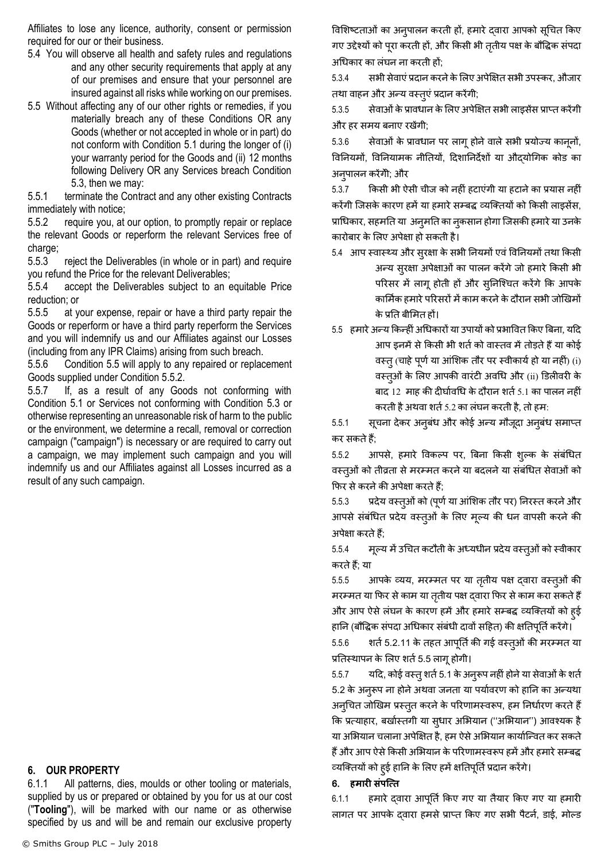Affiliates to lose any licence, authority, consent or permission required for our or their business.

- 5.4 You will observe all health and safety rules and regulations and any other security requirements that apply at any of our premises and ensure that your personnel are insured against all risks while working on our premises.
- <span id="page-5-0"></span>5.5 Without affecting any of our other rights or remedies, if you materially breach any of these Conditions OR any Goods (whether or not accepted in whole or in part) do not conform with Condition [5.1](#page-4-0) during the longer of (i) your warranty period for the Goods and (ii) 12 months following Delivery OR any Services breach Condition [5.3,](#page-4-1) then we may:

5.5.1 terminate the Contract and any other existing Contracts immediately with notice;

<span id="page-5-1"></span>5.5.2 require you, at our option, to promptly repair or replace the relevant Goods or reperform the relevant Services free of charge;

5.5.3 reject the Deliverables (in whole or in part) and require you refund the Price for the relevant Deliverables;

5.5.4 accept the Deliverables subject to an equitable Price reduction; or

5.5.5 at your expense, repair or have a third party repair the Goods or reperform or have a third party reperform the Services and you will indemnify us and our Affiliates against our Losses (including from any IPR Claims) arising from such breach.

5.5.6 Condition [5.5](#page-5-0) will apply to any repaired or replacement Goods supplied under Condition [5.5.2.](#page-5-1)

5.5.7 If, as a result of any Goods not conforming with Condition [5.1](#page-4-0) or Services not conforming with Condition [5.3](#page-4-1) or otherwise representing an unreasonable risk of harm to the public or the environment, we determine a recall, removal or correction campaign ("campaign") is necessary or are required to carry out a campaign, we may implement such campaign and you will indemnify us and our Affiliates against all Losses incurred as a result of any such campaign.

## **6. OUR PROPERTY**

6.1.1 All patterns, dies, moulds or other tooling or materials, supplied by us or prepared or obtained by you for us at our cost ("**Tooling**"), will be marked with our name or as otherwise specified by us and will be and remain our exclusive property

विशिष्टताओं का अनुपालन करती हों, हमारे दवारा आपको सूचित किए गए उद्देश्यों को पूरा करती हों, और किसी भी ततीय पक्ष के बौद्धिक संपदा अग्रधकार का िंघन ना करती हों;

5.3.4 सभी सेवाएंप्रदान करनेकेलिए अपेक्षक्षत सभी उपस्कर, औजार तथा वाहन और अन्य वस्तुएं प्रदान करेंगी;

5.3.5 सेवाओं के प्रावधान के लिए अपेक्षित सभी लाइसेंस प्राप्त करेंगी और हर समय बनाए रखेंगी;

5.3.6 सेवाओं के प्रावधान पर लागू होने वाले सभी प्रयोज्य कानूनों, विनियमों, विनियामक नीतियों, दिशानिर्देशों या औदयोगिक कोड का अनुपालन करेंगेी; और

5.3.7 क्रकसी भी ऐसी चीज को नहीं हटाएंगी या हटानेका प्रयास नहीं करेंगी जिसके कारण हमें या हमारे सम्बद्ध व्यक्तियों को किसी लाइसेंस, प्राधिकार, सहमति या अनुमति का नुकसान होगा जिसकी हमारे या उनके कारोबार के लिए अपेक्षा हो सकती है।

- 5.4 आप स्वास्थ्य और सुरक्षा के सभी नियमों एवं विनियमों तथा किसी अन्य सुरक्षा अपेक्षाओं का पालन करेंगे जो हमारे किसी भी परिसर में लागू होती हों और सुनिश्चित करेंगे कि आपके कार्मिक हमारे परिसरों में काम करने के दौरान सभी जोखिमों के प्रनत बीलमत हों।
- 5.5 हमारे अन्य किन्हीं अधिकारों या उपायों को प्रभावित किए बिना, यदि आप डनमें से किसी भी शर्त को वास्तव में तोड़ते हैं या कोई वस्तु (चाहे पूर्ण या आंशिक तौर पर स्वीकार्य हो या नहीं) (i) वस्तओु ं के लिए आपकी वारंटी अवग्रध और (ii) डििीवरी के बाद 12 माह की दीर्घावधि के दौरान शर्त 5.1 का पालन नहीं करती है अथवा शर्त 5.2 का लंघन करती है, तो हम:

5.5.1 सूचना देकर अनुबंध और कोई अन्य मौजूदा अनुबंध समाप्त कर सकतेह;ैं

5.5.2 आपसे, हमारे विकल्प पर, बिना किसी शुल्क के संबंधित वस्तओं को तीव्रता से मरम्मत करने या बदलने या संबंधित सेवाओं को फिर से करने की अपेक्षा करते हैं;

5.5.3 प्रदेय वस्तुओं को (पूर्ण या आंशिक तौर पर) निरस्त करने और आपसे संबंधित प्रदेय वस्त्ओं के लिए मूल्य की धन वापसी करने की अपेक्षा करतेह;ैं

5.5.4 मूल्य में उचित कटौती के अध्यधीन प्रदेय वस्तुओं को स्वीकार करते हैं; या

5.5.5 आपके व्यय, मरम्मत पर या तृतीय पक्ष दवारा वस्त्ओं की मरम्मत या फिर से काम या तृतीय पक्ष द्वारा फिर से काम करा सकते हैं और आप ऐसे लंघन के कारण हमें और हमारे सम्बद्ध व्यक्तियों को हुई हानि (बौद्धिक संपदा अधिकार संबंधी दावों सहित) की क्षतिपूर्ति करेंगे।

5.5.6 शर्त 5.2.11 के तहत आपूर्ति की गई वस्त्ओं की मरम्मत या प्रतिस्थापन के लिए शर्त [5.5](#page-5-0) लागू होगी।

5.5.7 यदि, कोई वस्तु शर्त 5.1 के अनुरूप नहीं होने या सेवाओं के शर्त 5.2 के अनुरूप ना होने अथवा जनता या पर्यावरण को हानि का अन्यथा अन्चित जोखिम प्रस्तुत करने के परिणामस्वरूप, हम निर्धारण करते हैं कि प्रत्याहार, बर्खास्तगी या सुधार अभियान ("अभियान") आवश्यक है या अभियान चलाना अपेक्षित है, हम ऐसे अभियान कार्यान्वित कर सकते हैं और आप ऐसे किसी अभियान के परिणामस्वरूप हमें और हमारे सम्बद्ध व्यक्तियों को हुई हानि के लिए हमें क्षतिपूर्ति प्रदान करेंगे।

#### 6. **हमािी संपत्त्र्त**

6.1.1 हमारे दवारा आपूर्ति किए गए या तैयार किए गए या हमारी लागत पर आपके दवारा हमसे प्राप्त किए गए सभी पैटर्न, डाई, मोल्ड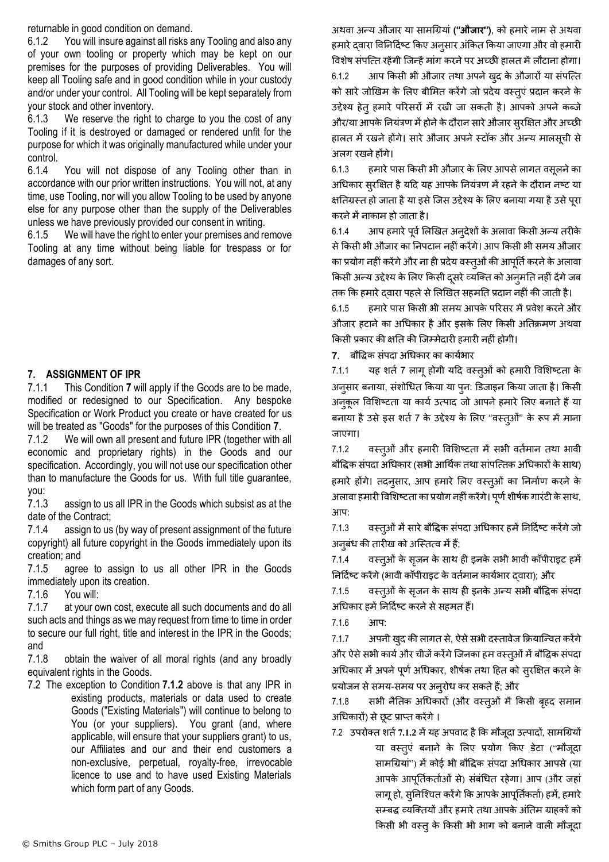returnable in good condition on demand.

6.1.2 You will insure against all risks any Tooling and also any of your own tooling or property which may be kept on our premises for the purposes of providing Deliverables. You will keep all Tooling safe and in good condition while in your custody and/or under your control. All Tooling will be kept separately from your stock and other inventory.

6.1.3 We reserve the right to charge to you the cost of any Tooling if it is destroyed or damaged or rendered unfit for the purpose for which it was originally manufactured while under your control.

6.1.4 You will not dispose of any Tooling other than in accordance with our prior written instructions. You will not, at any time, use Tooling, nor will you allow Tooling to be used by anyone else for any purpose other than the supply of the Deliverables unless we have previously provided our consent in writing.

6.1.5 We will have the right to enter your premises and remove Tooling at any time without being liable for trespass or for damages of any sort.

# <span id="page-6-0"></span>**7. ASSIGNMENT OF IPR**

7.1.1 This Condition **[7](#page-6-0)** will apply if the Goods are to be made, modified or redesigned to our Specification. Any bespoke Specification or Work Product you create or have created for us will be treated as "Goods" for the purposes of this Condition **[7](#page-6-0)**.

<span id="page-6-1"></span>7.1.2 We will own all present and future IPR (together with all economic and proprietary rights) in the Goods and our specification. Accordingly, you will not use our specification other than to manufacture the Goods for us. With full title guarantee, you:

7.1.3 assign to us all IPR in the Goods which subsist as at the date of the Contract;

7.1.4 assign to us (by way of present assignment of the future copyright) all future copyright in the Goods immediately upon its creation; and

7.1.5 agree to assign to us all other IPR in the Goods immediately upon its creation.

7.1.6 You will:

7.1.7 at your own cost, execute all such documents and do all such acts and things as we may request from time to time in order to secure our full right, title and interest in the IPR in the Goods; and

7.1.8 obtain the waiver of all moral rights (and any broadly equivalent rights in the Goods.

7.2 The exception to Condition **[7.1.2](#page-6-1)** above is that any IPR in existing products, materials or data used to create Goods ("Existing Materials") will continue to belong to You (or your suppliers). You grant (and, where applicable, will ensure that your suppliers grant) to us, our Affiliates and our and their end customers a non-exclusive, perpetual, royalty-free, irrevocable licence to use and to have used Existing Materials which form part of any Goods.

अर्वा अन्य औजार या सामग्रियां **(**''**औजाि**''), को हमारेनाम सेअर्वा हमारे दवारा विनिर्दिष्ट किए अनुसार अंकित किया जाएगा और वो हमारी विशेष संपत्ति रहेंगी जिन्हें मांग करने पर अच्छी हालत में लौटाना होगा। 6.1.2 आप किसी भी औजार तथा अपने खुद के औजारों या संपत्ति को सारे जोखिम के लिए बीमित करेंगे जो प्रदेय वस्तुएं प्रदान करने के उद्देश्य हेतुहमारे पररसरों में रखी जा सकती है। आपको अपनेकब्जे और/या आपके नियंत्रण में होने के दौरान सारे औजार सुरक्षित और अच्छी हालत में रखने होंगे। सारे औजार अपने स्टॉक और अन्य मालसूची से अलग रखने होंगे।

6.1.3 हमारे पास किसी भी औजार के लिए आपसे लागत वसूलने का अधिकार सुरक्षित है यदि यह आपके नियंत्रण में रहने के दौरान नष्ट या क्षतिग्रस्त हो जाता है या इसे जिस उद्देश्य के लिए बनाया गया है उसे पूरा करने में नाकाम हो जाता है।

6.1.4 आप हमारे पूर्व लिखित अन्**देशों के अलावा किसी अन्य तरीके** से किसी भी औजार का निपटान नहीं करेंगे। आप किसी भी समय औजार का प्रयोग नहीं करेंगे और ना ही प्रदेय वस्त्ओं की आपूर्ति करने के अलावा किसी अन्य उद्देश्य के लिए किसी दसरे व्यक्ति को अनुमति नहीं देंगे जब तक कि हमारे दवारा पहले से लिखित सहमति प्रदान नहीं की जाती है।

6.1.5 हमारेपास क्रकसी भी समय आपके पररसर मेंप्रवेश करनेऔर औजार हटाने का अधिकार है और इसके लिए किसी अतिक्रमण अथवा क्रकसी प्रकार की क्षनत की क्जम्मेदारी हमारी नहींहोगी।

7. बौवद्धक संपदा अग्रधकार का कायथभार

7.1.1 यह शर्त 7 लागू होगी यदि वस्तुओं को हमारी विशिष्टता के अनसार बनाया, संशोधित किया या पन: डिजाइन किया जाता है। किसी अनकुल विशिष्टता या कार्य उत्पाद जो आपने हमारे लिए बनाते हैं या बनाया है उसे इस शर्त 7 के उद्देश्य के लिए ''वस्तूओं" के रूप में माना जाएगा।

7.1.2 वस्तुओं और हमारी विशिष्टता में सभी वर्तमान तथा भावी बौद्धिक संपदा अधिकार (सभी आर्थिक तथा सांपत्तिक अधिकारों के साथ) हमारे होंगे। तदनुसार, आप हमारे लिए वस्तूओं का निर्माण करने के अलावा हमारी विशिष्टता का प्रयोग नहीं करेंगे। पूर्ण शीर्षक गारंटी के साथ, आप:

7.1.3 वस्त्ओं में सारे बौद्धिक संपदा अधिकार हमें निर्दिष्ट करेंगे जो अनुबंध की तारीख को अस्तित्व में हैं;

7.1.4 वस्तुओं के सुजन के साथ ही इनके सभी भावी कॉपीराइट हमें निर्दिष्ट करेंगे (भावी कॉपीराइट के वर्तमान कार्यभार दवारा); और

7.1.5 वस्तुओं के सृजन के साथ ही इनके अन्य सभी बौद्धिक संपदा अधिकार हमें निर्दिष्ट करने से सहमत हैं।

7.1.6 आप:

7.1.7 अपनी खदु की िागत से, ऐसेसभी दस्तावेज क्रियाक्न्वत करेंगे और ऐसे सभी कार्य और चीजें करेंगे जिनका हम वस्तुओं में बौद्धिक संपदा अधिकार में अपने पूर्ण अधिकार, शीर्षक तथा हित को सुरक्षित करने के प्रयोजन से समय-समय पर अन्**रोध कर सकते हैं; औ**र

7.1.8 सभी नैतिक अधिकारों (और वस्तुओं में किसी बहद समान अग्रधकारों) सेछूट प्राप्त करेंगे।

7.2 उपरोक्त शर्त 7.1.2 में यह अपवाद है कि मौजूदा उत्पादों, सामग्रियों या वस्तुएं बनाने के लिए प्रयोग किए डेटा ("मौजूदा सामग्रियां") में कोई भी बौद्धिक संपदा अधिकार आपसे (या आपके आपूर्तिकर्ताओं से) संबंधित रहेगा। आप (और जहां लागू हो, सुनिश्चित करेंगे कि आपके आपूर्तिकर्ता) हमें, हमारे सम्बद्ध व्यक्तियों और हमारे तथा आपके अंतिम ग्राहकों को किसी भी वस्तू के किसी भी भाग को बनाने वाली मौजूदा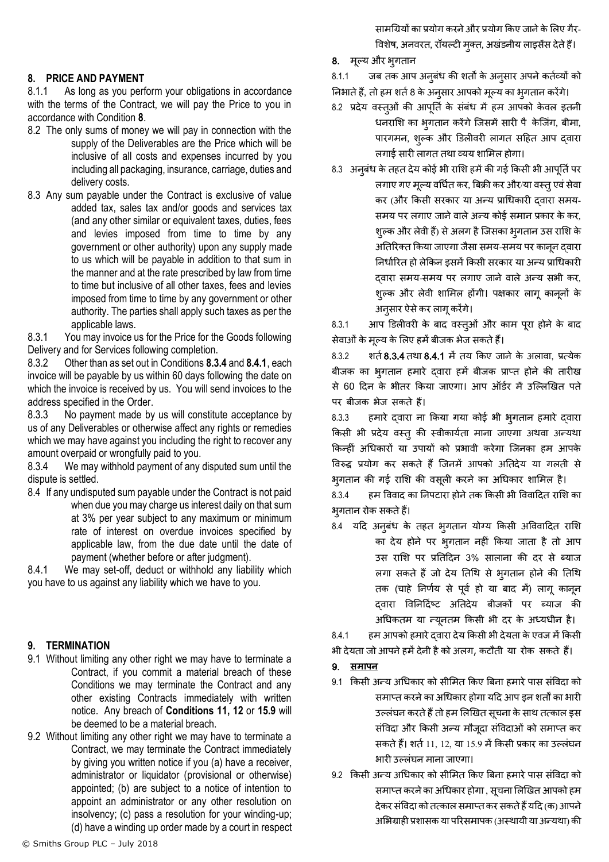## <span id="page-7-0"></span>**8. PRICE AND PAYMENT**

8.1.1 As long as you perform your obligations in accordance with the terms of the Contract, we will pay the Price to you in accordance with Condition **[8](#page-7-0)**.

- 8.2 The only sums of money we will pay in connection with the supply of the Deliverables are the Price which will be inclusive of all costs and expenses incurred by you including all packaging, insurance, carriage, duties and delivery costs.
- 8.3 Any sum payable under the Contract is exclusive of value added tax, sales tax and/or goods and services tax (and any other similar or equivalent taxes, duties, fees and levies imposed from time to time by any government or other authority) upon any supply made to us which will be payable in addition to that sum in the manner and at the rate prescribed by law from time to time but inclusive of all other taxes, fees and levies imposed from time to time by any government or other authority. The parties shall apply such taxes as per the applicable laws.

8.3.1 You may invoice us for the Price for the Goods following Delivery and for Services following completion.

8.3.2 Other than as set out in Conditions **[8.3.4](#page-7-1)** and **[8.4.1](#page-7-2)**, each invoice will be payable by us within 60 days following the date on which the invoice is received by us. You will send invoices to the address specified in the Order.

8.3.3 No payment made by us will constitute acceptance by us of any Deliverables or otherwise affect any rights or remedies which we may have against you including the right to recover any amount overpaid or wrongfully paid to you.

<span id="page-7-1"></span>8.3.4 We may withhold payment of any disputed sum until the dispute is settled.

8.4 If any undisputed sum payable under the Contract is not paid when due you may charge us interest daily on that sum at 3% per year subject to any maximum or minimum rate of interest on overdue invoices specified by applicable law, from the due date until the date of payment (whether before or after judgment).

<span id="page-7-2"></span>8.4.1 We may set-off, deduct or withhold any liability which you have to us against any liability which we have to you.

## **9. TERMINATION**

- 9.1 Without limiting any other right we may have to terminate a Contract, if you commit a material breach of these Conditions we may terminate the Contract and any other existing Contracts immediately with written notice. Any breach of **Conditions 11, 12** or **[15.9](#page-11-0)** will be deemed to be a material breach.
- 9.2 Without limiting any other right we may have to terminate a Contract, we may terminate the Contract immediately by giving you written notice if you (a) have a receiver, administrator or liquidator (provisional or otherwise) appointed; (b) are subject to a notice of intention to appoint an administrator or any other resolution on insolvency; (c) pass a resolution for your winding-up; (d) have a winding up order made by a court in respect

सामग्रियों का प्रयोग करने और प्रयोग किए जाने के लिए गैर-विशेष, अनवरत, रॉयल्टी मुक्त, अखंडनीय लाइसेंस देते हैं।

8. मूलय और भुगतान

8.1.1 जब तक आप अनूबंध की शर्तों के अनूसार अपने कर्तव्यों को

- निभाते हैं, तो हम शर्त 8 के अनुसार आपको मूल्य का भूगतान करेंगे।
- 8.2 प्रदेय वस्तओं की आपूर्ति के संबंध में हम आपको केवल इतनी धनराशि का भूगतान करेंगे जिसमें सारी पै केजिंग, बीमा, पारगमन, शुल्क और डिलीवरी लागत सहित आप दवारा लगाई सारी लागत तथा व्यय शामिल होगा।
- 8.3 अनुबंध के तहत देय कोई भी राशि हमें की गई किसी भी आपूर्ति पर लगाए गए मूल्य वर्धित कर, बिक्री कर और/या वस्तु एवं सेवा कर (और किसी सरकार या अन्य प्राधिकारी दवारा समय-समय पर लगाए जाने वाले अन्य कोई समान प्रकार के कर, शुल्क और लेवी हैं) से अलग है जिसका भृगतान उस राशि के अतिरिक्त किया जाएगा जैसा समय-समय पर कानून दवारा निर्धारित हो लेकिन इसमें किसी सरकार या अन्य प्राधिकारी दवारा समय-समय पर लगाए जाने वाले अन्य सभी कर, शुल्क और लेवी शामिल होंगी। पक्षकार लागू कानूनों के अनुसार ऐसे कर लागू करेंगे।

8.3.1 आप डिलीवरी के बाद वस्त्ओं और काम पूरा होने के बाद सेवाओंके मलूय के लिए हमेंबीजक भेज सकतेहैं।

8.3.2 शर्त [8.3.4](#page-7-1) तथा [8.4.1](#page-7-2) में तय किए जाने के अलावा, प्रत्येक बीजक का भगतान हमारे दवारा हमें बीजक प्राप्त होने की तारीख से 60 दिन के भीतर किया जाएगा। आप ऑर्डर में उल्लिखित पते पर बीजक भेज सकते हैं।

8.3.3 हमारे दवारा ना किया गया कोई भी भुगतान हमारे द्वारा किसी भी प्रदेय वस्तु की स्वीकार्यता माना जाएगा अथवा अन्यथा किन्हीं अधिकारों या उपायों को प्रभावी करेगा जिनका हम आपके विरुद्ध प्रयोग कर सकते हैं जिनमें आपको अतिदेय या गलती से भृगतान की गई राशि की वसूली करने का अधिकार शामिल है।

8.3.4 हम विवाद का निपटारा होने तक किसी भी विवादित राशि का भगतान रोक सकते हैं।

8.4 यदि अनुबंध के तहत भुगतान योग्य किसी अविवादित राशि का देय होने पर भुगतान नहीं किया जाता है तो आप उस राशि पर प्रतिदिन 3% सालाना की दर से ब्याज लगा सकते हैं जो देय तिथि से भ्गतान होने की तिथि तक (चाहे निर्णय से पूर्व हो या बाद में) लागू कानून दवारा विनिर्दिष्ट अतिदेय बीजकों पर ब्याज की अधिकतम या न्यूनतम किसी भी दर के अध्यधीन है।

8.4.1 हम आपको हमारे दवारा देय किसी भी देयता के एवज में किसी

भी देयता जो आपने हमें देनी है को अलग, कटौती या रोक सकते हैं।

## 9. **समापन**

- 9.1 क्रकसी अन्य अग्रधकार को सीलमत क्रकए त्रबना हमारेपास संववदा को समाप्त करने का अधिकार होगा यदि आप इन शर्तों का भारी उल्लंघन करते हैं तो हम लिखित सूचना के साथ तत्काल इस संववदा और क्रकसी अन्य मौजदूा संववदाओं को समाप्त कर सकते हैं। शर्त 11, 12, या 15.9 में किसी प्रकार का उल्लंघन भारी उलिंघन माना जाएगा।
- 9.2 क्रकसी अन्य अग्रधकार को सीलमत क्रकए त्रबना हमारेपास संववदा को समाप्त करने का अधिकार होगा , सूचना लिखित आपको हम देकर संविदा को तत्काल समाप्त कर सकते हैं यदि (क) आपने अभिग्राही प्रशासक या परिसमापक (अस्थायी या अन्यथा) की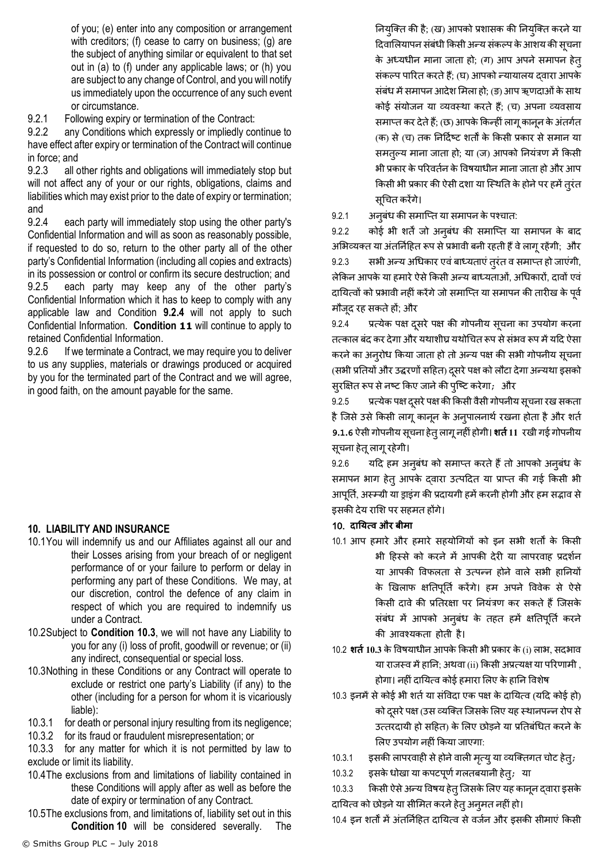of you; (e) enter into any composition or arrangement with creditors; (f) cease to carry on business; (g) are the subject of anything similar or equivalent to that set out in (a) to (f) under any applicable laws; or (h) you are subject to any change of Control, and you will notify us immediately upon the occurrence of any such event or circumstance.

9.2.1 Following expiry or termination of the Contract:

9.2.2 any Conditions which expressly or impliedly continue to have effect after expiry or termination of the Contract will continue in force; and

9.2.3 all other rights and obligations will immediately stop but will not affect any of your or our rights, obligations, claims and liabilities which may exist prior to the date of expiry or termination; and

<span id="page-8-0"></span>9.2.4 each party will immediately stop using the other party's Confidential Information and will as soon as reasonably possible, if requested to do so, return to the other party all of the other party's Confidential Information (including all copies and extracts) in its possession or control or confirm its secure destruction; and 9.2.5 each party may keep any of the other party's Confidential Information which it has to keep to comply with any applicable law and Condition **[9.2.4](#page-8-0)** will not apply to such Confidential Information. **Condition [11](#page-9-0)** will continue to apply to retained Confidential Information.

9.2.6 If we terminate a Contract, we may require you to deliver to us any supplies, materials or drawings produced or acquired by you for the terminated part of the Contract and we will agree, in good faith, on the amount payable for the same.

# <span id="page-8-2"></span>**10. LIABILITY AND INSURANCE**

- 10.1You will indemnify us and our Affiliates against all our and their Losses arising from your breach of or negligent performance of or your failure to perform or delay in performing any part of these Conditions. We may, at our discretion, control the defence of any claim in respect of which you are required to indemnify us under a Contract.
- 10.2Subject to **Condition [10.3](#page-8-1)**, we will not have any Liability to you for any (i) loss of profit, goodwill or revenue; or (ii) any indirect, consequential or special loss.
- <span id="page-8-1"></span>10.3Nothing in these Conditions or any Contract will operate to exclude or restrict one party's Liability (if any) to the other (including for a person for whom it is vicariously liable):
- 10.3.1 for death or personal injury resulting from its negligence;
- 10.3.2 for its fraud or fraudulent misrepresentation; or

10.3.3 for any matter for which it is not permitted by law to exclude or limit its liability.

- 10.4The exclusions from and limitations of liability contained in these Conditions will apply after as well as before the date of expiry or termination of any Contract.
- 10.5The exclusions from, and limitations of, liability set out in this **Condition [10](#page-8-2)** will be considered severally. The

नियुक्ति की है; (ख) आपको प्रशासक की नियुक्ति करने या दिवालियापन संबंधी किसी अन्य संकल्प के आशय की सूचना के अध्यधीन माना जाता हो; (ग) आप अपने समापन हेतु संकल्प पारित करते हैं; (घ) आपको न्यायालय दवारा आपके संबंध में समापन आदेश मिला हो; (ङ) आप ऋणदाओं के साथ कोई संयोजन या व्यवस्था करते हैं; (च) अपना व्यवसाय समाप्त कर देते हैं; (छ) आपके किन्हीं लागू कानून के अंतर्गत (क) से (च) तक निर्दिष्ट शर्तों के किसी प्रकार से समान या समतल्य माना जाता हो; या (ज) आपको नियंत्रण में किसी भी प्रकार के परिवर्तन के विषयाधीन माना जाता हो और आप किसी भी प्रकार की ऐसी दशा या स्थिति के होने पर हमें तूरंत सूग्रचत करेंगे।

9.2.1 अनुबंध की समाप्ति या समापन के पश्चात:

9.2.2 कोई भी शर्तें जो अनूबंध की समाप्ति या समापन के बाद अभिव्यक्त या अंतर्निहित रूप से प्रभावी बनी रहती हैं वे लागू रहेंगी; और 9.2.3 सभी अन्य अग्रधकार एवंबाध्यताएंतुरंत व समाप्त हो जाएंगी, िेक्रकन आपके या हमारेऐसेक्रकसी अन्य बाध्यताओं, अग्रधकारों, दावों एवं दायित्वों को प्रभावी नहीं करेंगे जो समाप्ति या समापन की तारीख के पूर्व

मौजूद रह सकतेहों; और

9.2.4 प्रत्येक पक्ष दूसरे पक्ष की गोपनीय सूचना का उपयोग करना तत्काल बंद कर देगा और यथाशीघ्र यथोचित रूप से संभव रूप में यदि ऐसा करने का अनूरोध किया जाता हो तो अन्य पक्ष की सभी गोपनीय सूचना (सभी प्रतियों और उद्धरणों सहित) दूसरे पक्ष को लौटा देगा अन्यथा इसको सुरक्षक्षत रूप सेनषट क्रकए जानेकी पुक्षट करेगा; और

9.2.5 प्रत्येक पक्ष दूसरे पक्ष की किसी वैसी गोपनीय सूचना रख सकता है जिसे उसे किसी लागू कानून के अनुपालनार्थ रखना होता है और शर्त **9.1.6** ऐसी गोपनीय सचू ना हेतुिागूनहींहोगी। **शर्तत11** रखी गईगोपनीय सूचना हेतू लागू रहेगी।

9.2.6 यदि हम अनुबंध को समाप्त करते हैं तो आपको अनुबंध के समापन भाग हेतु आपके दवारा उत्पदित या प्राप्त की गई किसी भी आपूर्ति, अस्म्ज्यी या ड्राइंग की प्रदायगी हमें करनी होगी और हम सद्भाव से इसकी देय रालश पर सहमत होंगे।

## 10. **दानयत्व औि बीमा**

- 10.1 आप हमारे और हमारे सहयोगियों को इन सभी शर्तों के किसी भी हिस्से को करने में आपकी देरी या लापरवाह प्रदर्शन या आपकी विफलता से उत्पन्न होने वाले सभी हानियों के खिलाफ क्षतिपूर्ति करेंगे। हम अपने विवेक से ऐसे किसी दावे की प्रतिरक्षा पर नियंत्रण कर सकते हैं जिसके संबंध में आपको अनुबंध के तहत हमें क्षतिपूर्ति करने की्आवश्यकता होती्है।
- 10.2 **शर्त 10.3** के विषयाधीन आपके किसी भी प्रकार के (i) लाभ, सदभाव या राजस्व में हानि; अथवा (ii) किसी अप्रत्यक्ष या परिणामी , होगा। नहींदानयत्व कोई हमारा लिए के हानन ववशेष
- 10.3 इनमें से कोई भी शर्त या संविदा एक पक्ष के दायित्व (यदि कोई हो) को दसरे पक्ष (उस व्यक्ति जिसके लिए यह स्थानपन्न रोप से उत्तरदायी हो सहित) के लिए छोड़ने या प्रतिबंधित करने के लिए उपयोग नहीं किया जाएगा:
- 10.3.1 इसकी लापरवाही से होने वाली मृत्यु या व्यक्तिगत चोट हेतु;
- 10.3.2 इसके धोखा या कपटपूर्ण गलतबयानी हेत्; या

10.3.3 किसी ऐसे अन्य विषय हेत् जिसके लिए यह कानून द्वारा इसके दायित्व को छोड़ने या सीमित करने हेत् अनुमत नहीं हो।

10.4 इन शर्तों में अंतर्निहित दायित्व से वर्जन और इसकी सीमाएं किसी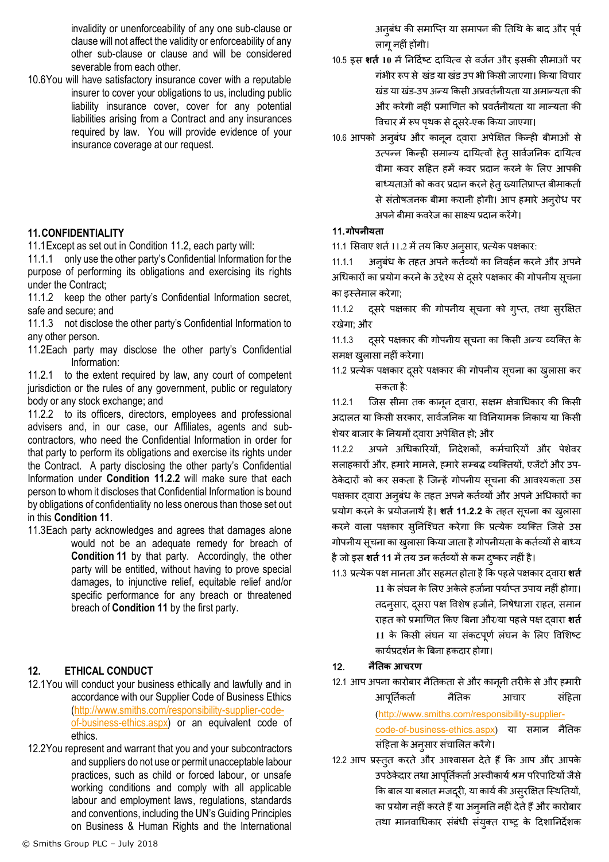invalidity or unenforceability of any one sub-clause or clause will not affect the validity or enforceability of any other sub-clause or clause and will be considered severable from each other.

10.6You will have satisfactory insurance cover with a reputable insurer to cover your obligations to us, including public liability insurance cover, cover for any potential liabilities arising from a Contract and any insurances required by law. You will provide evidence of your insurance coverage at our request.

## <span id="page-9-0"></span>**11.CONFIDENTIALITY**

11.1Except as set out in Condition [11.2,](#page-9-1) each party will:

11.1.1 only use the other party's Confidential Information for the purpose of performing its obligations and exercising its rights under the Contract;

11.1.2 keep the other party's Confidential Information secret, safe and secure; and

11.1.3 not disclose the other party's Confidential Information to any other person.

<span id="page-9-1"></span>11.2Each party may disclose the other party's Confidential Information:

11.2.1 to the extent required by law, any court of competent jurisdiction or the rules of any government, public or regulatory body or any stock exchange; and

<span id="page-9-2"></span>11.2.2 to its officers, directors, employees and professional advisers and, in our case, our Affiliates, agents and subcontractors, who need the Confidential Information in order for that party to perform its obligations and exercise its rights under the Contract. A party disclosing the other party's Confidential Information under **Condition [11.2.2](#page-9-2)** will make sure that each person to whom it discloses that Confidential Information is bound by obligations of confidentiality no less onerous than those set out in this **Conditio[n 11](#page-9-0)**.

11.3Each party acknowledges and agrees that damages alone would not be an adequate remedy for breach of **Condition [11](#page-9-0)** by that party. Accordingly, the other party will be entitled, without having to prove special damages, to injunctive relief, equitable relief and/or specific performance for any breach or threatened breach of **Condition [11](#page-9-0)** by the first party.

# <span id="page-9-3"></span>**12. ETHICAL CONDUCT**

- 12.1You will conduct your business ethically and lawfully and in accordance with our Supplier Code of Business Ethics [\(http://www.smiths.com/responsibility-supplier-code](http://www.smiths.com/responsibility-supplier-code-of-business-ethics.aspx)[of-business-ethics.aspx\)](http://www.smiths.com/responsibility-supplier-code-of-business-ethics.aspx) or an equivalent code of ethics.
- 12.2You represent and warrant that you and your subcontractors and suppliers do not use or permit unacceptable labour practices, such as child or forced labour, or unsafe working conditions and comply with all applicable labour and employment laws, regulations, standards and conventions, including the UN's Guiding Principles on Business & Human Rights and the International

अनुबंध की समाप्ति या समापन की तिथि के बाद और पूर्व िागूनहींहोंगी।

- 10.5 इस **शर्त** 10 में निर्दिष्ट दायित्व से वर्जन और इसकी सीमाओं पर गंभीर रूप से खंड या खंड उप भी किसी जाएगा। किया विचार खंड या खंड-उप अन्य किसी अप्रवर्तनीयता या अमान्यता की और करेगी नहीं प्रमाणित को प्रवर्तनीयता या मान्यता की विचार में रूप पृथक से दुसरे-एक किया जाएगा।
- 10.6 आपको अनूबंध और कानून दवारा अपेक्षित किन्ही बीमाओं से उत्पन्न किन्ही समान्य दायित्वों हेतु सार्वजनिक दायित्व वीमा कवर सहित हमें कवर प्रदान करने के लिए आपकी बाध्यताओं को कवर प्रदान करने हेत् ख्यातिप्राप्त बीमाकर्ता से संतोषजनक बीमा करानी होगी। आप हमारे अनुरोध पर अपनेबीमा कवरेज का साक्ष्य प्रदान करेंगे।

## 11.**गोपनीयर्ता**

11.1 सिवाए शर्त 11.2 में तय किए अनूसार, प्रत्येक पक्षकार:

11.1.1 अनुबंध के तहत अपने कर्तव्यों का निवर्हन करने और अपने अधिकारों का प्रयोग करने के उद्देश्य से दुसरे पक्षकार की गोपनीय सूचना का इस्तेमाि करेगा;

11.1.2 दूसरे पक्षकार की गोपनीय सूचना को गुप्त, तथा सुरक्षित रखेगा; और

11.1.3 दूसरे पक्षकार की गोपनीय सूचना का किसी अन्य व्यक्ति के समक्ष खुलासा नहीं करेगा।

11.2 प्रत्येक पक्षकार दूसरे पक्षकार की गोपनीय सूचना का खुलासा कर सकता है:

11.2.1 जिस सीमा तक कानून दवारा, सक्षम क्षेत्राधिकार की किसी अदालत या किसी सरकार, सार्वजनिक या विनियामक निकाय या किसी शेयर बाजार के ननयमों द्वारा अपेक्षक्षत हो; और

11.2.2 अपने अधिकारियों, निदेशकों, कर्मचारियों और पेशेवर सलाहकारों और, हमारे मामले, हमारे सम्बद्ध व्यक्तियों, एजेंटों और उप-ठेकेदारों को कर सकता है जिन्हें गोपनीय सूचना की आवश्यकता उस पक्षकार दवारा अनुबंध के तहत अपने कर्तव्यों और अपने अधिकारों का प्रयोग करने के प्रयोजनार्थ है। शर्त 11.2.2 के तहत सूचना का खुलासा करने वाला पक्षकार सुनिश्चित करेगा कि प्रत्येक व्यक्ति जिसे उस गोपनीय सूचना का खुलासा किया जाता है गोपनीयता के कर्तव्यों से बाध्य हैजो इस **शर्तत11** मेंतय उन कतथव्यों सेकम दषुकर नहींहै।

11.3 प्रत्येक पक्ष मानता और सहमत होता है कि पहले पक्षकार दवारा **शर्त** 11 के लंघन के लिए अकेले हर्जाना पर्याप्त उपाय नहीं होगा। तदनूसार, दुसरा पक्ष विशेष हर्जाने, निषेधाज्ञा राहत, समान राहत को प्रमाणित किए बिना और/या पहले पक्ष दवारा शर्त 11 के किसी लंघन या संकटपूर्ण लंघन के लिए विशिष्ट कायथप्रदशथन केत्रबना हकदार होगा।

## 12. **नैनर्तक आचिण**

- 12.1 आप अपना कारोबार नैतिकता से और कानूनी तरीके से और हमारी आपूर्तिकर्ता नैतिक आचार संहिता ([http://www.smiths.com/responsibility-supplier](http://www.smiths.com/responsibility-supplier-code-of-business-ethics.aspx)[code-of-business-ethics.aspx](http://www.smiths.com/responsibility-supplier-code-of-business-ethics.aspx)) या समान नैनतक संहिता के अनुसार संचालित करेंगे।
- 12.2 आप प्रस्तुत करते और आश्वासन देते हैं कि आप और आपके उपठेकेदार तथा आपूर्तिकर्ता अस्वीकार्य श्रम परिपाटियों जैसे कि बाल या बलात मजदूरी, या कार्य की असुरक्षित स्थितियों, का प्रयोग नहींकरतेहैंया अनुमनत नहींदेतेहैंऔर कारोबार तर्ा मानवाग्रधकार संबंधी संयतुत राष्र के हदशाननदेशक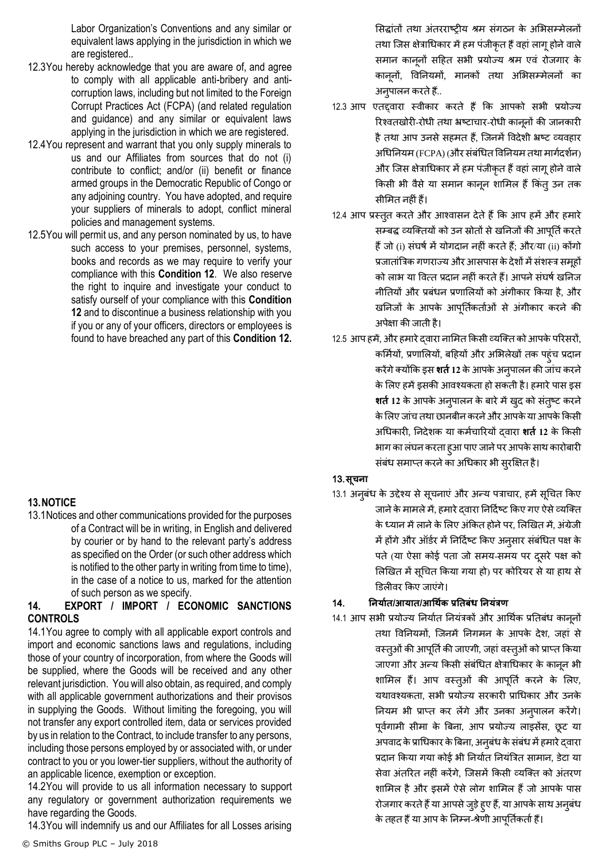Labor Organization's Conventions and any similar or equivalent laws applying in the jurisdiction in which we are registered..

- 12.3You hereby acknowledge that you are aware of, and agree to comply with all applicable anti-bribery and anticorruption laws, including but not limited to the Foreign Corrupt Practices Act (FCPA) (and related regulation and guidance) and any similar or equivalent laws applying in the jurisdiction in which we are registered.
- 12.4You represent and warrant that you only supply minerals to us and our Affiliates from sources that do not (i) contribute to conflict; and/or (ii) benefit or finance armed groups in the Democratic Republic of Congo or any adjoining country. You have adopted, and require your suppliers of minerals to adopt, conflict mineral policies and management systems.
- 12.5You will permit us, and any person nominated by us, to have such access to your premises, personnel, systems, books and records as we may require to verify your compliance with this **Condition [12](#page-9-3)**. We also reserve the right to inquire and investigate your conduct to satisfy ourself of your compliance with this **Condition [12](#page-9-3)** and to discontinue a business relationship with you if you or any of your officers, directors or employees is found to have breached any part of this **Condition [12.](#page-9-3)**

# **13.NOTICE**

13.1Notices and other communications provided for the purposes of a Contract will be in writing, in English and delivered by courier or by hand to the relevant party's address as specified on the Order (or such other address which is notified to the other party in writing from time to time), in the case of a notice to us, marked for the attention of such person as we specify.

## <span id="page-10-0"></span>**14. EXPORT / IMPORT / ECONOMIC SANCTIONS CONTROLS**

14.1You agree to comply with all applicable export controls and import and economic sanctions laws and regulations, including those of your country of incorporation, from where the Goods will be supplied, where the Goods will be received and any other relevant jurisdiction. You will also obtain, as required, and comply with all applicable government authorizations and their provisos in supplying the Goods. Without limiting the foregoing, you will not transfer any export controlled item, data or services provided by us in relation to the Contract, to include transfer to any persons, including those persons employed by or associated with, or under contract to you or you lower-tier suppliers, without the authority of an applicable licence, exemption or exception.

14.2You will provide to us all information necessary to support any regulatory or government authorization requirements we have regarding the Goods.

14.3You will indemnify us and our Affiliates for all Losses arising

सिद्धांतों तथा अंतरराष्ट्रीय श्रम संगठन के अभिसम्मेलनों तथा जिस क्षेत्राधिकार में हम पंजीकृत हैं वहां लागू होने वाले समान कानूनों सहित सभी प्रयोज्य श्रम एवं रोजगार के काननों, विनियमों, मानकों तथा अभिसम्मेलनों का अनुपालन करते हैं..

- 12.3 आप एतद्दवारा स्वीकार करते हैं कि आपको सभी प्रयोज्य रिश्वतखोरी-रोधी तथा भ्रष्टाचार-रोधी कानूनों की जानकारी है तथा आप उनसे सहमत हैं, जिनमें विदेशी भ्रष्ट व्यवहार अधिनियम (FCPA) (और संबंधित विनियम तथा मार्गदर्शन) और जिस क्षेत्राधिकार में हम पंजीकृत हैं वहां लागू होने वाले किसी भी वैसे या समान कानून शामिल हैं किंतू उन तक सीमित नहीं हैं।
- 12.4 आप प्रस्तुत करते और आश्वासन देते हैं कि आप हमें और हमारे सम्बद्ध व्यक्तियों को उन स्रोतों से खनिजों की आपूर्ति करते हैं जो (i) संघर्ष में योगदान नहीं करते हैं; और/या (ii) कोंगो प्रजातांत्रिक गणराज्य और आसपास के देशों में संशस्त्र समूहों को लाभ या वित्त प्रदान नहीं करते हैं। आपने संघर्ष खनिज नीनतयों और प्रबंधन प्रणालियों को अंगीकार क्रकया है, और खनिजों के आपके आपूर्तिकर्ताओं से अंगीकार करने की अपेक्षा की जाती है।
- 12.5 आप हमें, और हमारे द्वारा नामित किसी व्यक्ति को आपके परिसरों, कर्मियों, प्रणालियों, बहियों और अभिलेखों तक पहुंच प्रदान करेंगेतयोंक्रक इस **शर्तत12** केआपके अनुपािन की जांच करने के लिए हमें इसकी आवश्यकता हो सकती है। हमारे पास इस **शर्त** 12 के आपके अनुपालन के बारे में खुद को संतुष्ट करने के लिए जांच तथा छानबीन करने और आपके या आपके किसी अग्रधकारी, ननदेशक या कमथचाररयों द्वारा **शर्तत12** के क्रकसी भाग का लंघन करता हुआ पाए जाने पर आपके साथ कारोबारी संबंध समाप्त करने का अधिकार भी सुरक्षित है।

## 13.**सूचना**

13.1 अनुबंध के उद्देश्य से सूचनाएं और अन्य पत्राचार, हमें सूचित किए जाने के मामले में, हमारे दवारा निर्दिष्ट किए गए ऐसे व्यक्ति के ध्यान में लाने के लिए अंकित होने पर, लिखित में, अंग्रेजी में होंगे और ऑर्डर में निर्दिष्ट किए अनुसार संबंधित पक्ष के पते (या ऐसा कोई पता जो समय-समय पर दूसरे पक्ष को लिखित में सूचित किया गया हो) पर कोरियर से या हाथ से डििीवर क्रकए जाएंगे।

# 14. **ननयातर्त/आयार्त/आधथतक प्रनर्तबंध ननयंत्रण**

14.1 आप सभी प्रयोज्य निर्यात नियंत्रकों और आर्थिक प्रतिबंध कानूनों तर्ा ववननयमों, क्जनमें ननगमन के आपके देश, जहां से वस्त्ओं की आपूर्ति की जाएगी, जहां वस्त्ओं को प्राप्त किया जाएगा और अन्य किसी संबंधित क्षेत्राधिकार के कानून भी शामिल हैं। आप वस्तुओं की आपूर्ति करने के लिए, यर्ावश्यकता, सभी प्रयोज्य सरकारी प्राग्रधकार और उनके नियम भी प्राप्त कर लेंगे और उनका अनुपालन करेंगे। पूर्वगामी सीमा के बिना, आप प्रयोज्य लाइसेंस, छूट या अपवाद के प्राधिकार के बिना, अनुबंध के संबंध में हमारे दवारा प्रदान किया गया कोई भी निर्यात नियंत्रित सामान, डेटा या सेवा अंतरित नहीं करेंगे, जिसमें किसी व्यक्ति को अंतरण शामिल है और इसमें ऐसे लोग शामिल हैं जो आपके पास रोजगार करते हैं या आपसे जुड़े हुए हैं, या आपके साथ अनुबंध के तहत हैं या आप के निम्न-श्रेणी आपूर्तिकर्ता हैं।